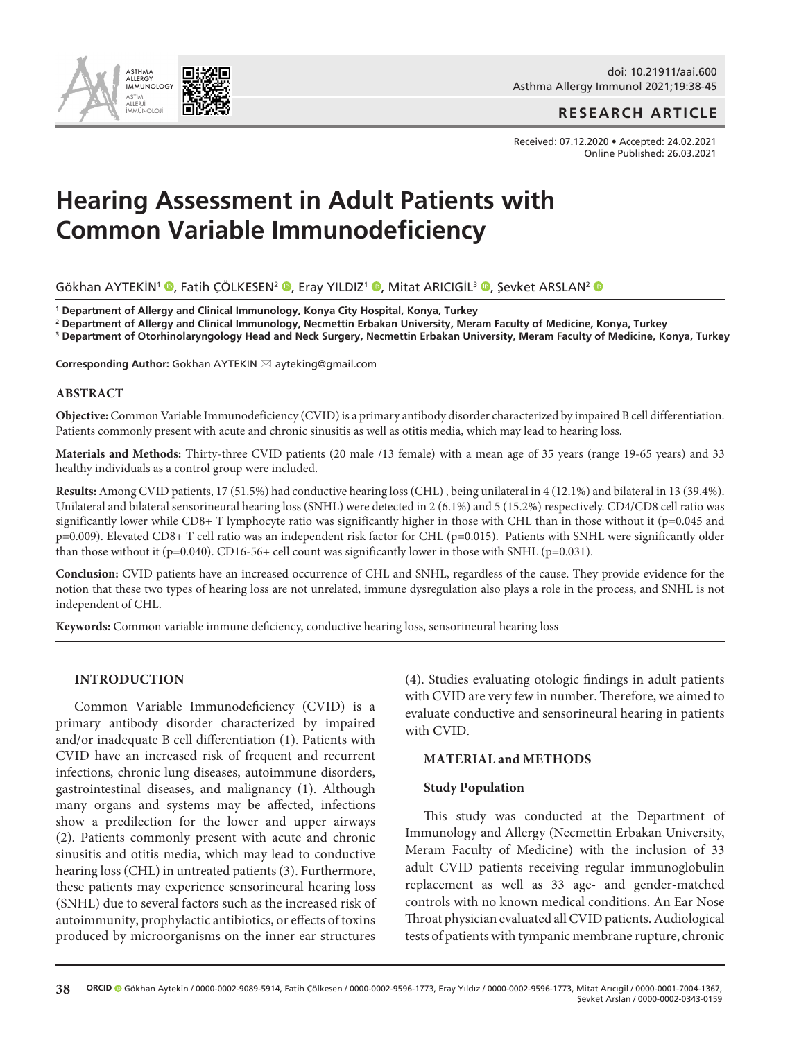doi: 10.21911/aai.600 Asthma Allergy Immunol 2021;19:38-45

## **RESEARCH ARTICLE**

Received: 07.12.2020 • Accepted: 24.02.2021 Online Published: 26.03.2021

# **Hearing Assessment in Adult Patients with Common Variable Immunodeficiency**

Gökhan AYTEKİN<sup>1</sup> (D[,](http://orcid.org/0000-0002-9596-1773) Fatih ÇÖLKESEN<sup>2</sup> (D, Eray YILDIZ<sup>1</sup> (D, Mitat ARICIGİL<sup>3</sup> (D, Şevket ARSLAN<sup>2</sup> (D

**<sup>1</sup> Department of Allergy and Clinical Immunology, Konya City Hospital, Konya, Turkey**

**2 Department of Allergy and Clinical Immunology, Necmettin Erbakan University, Meram Faculty of Medicine, Konya, Turkey**

**3 Department of Otorhinolaryngology Head and Neck Surgery, Necmettin Erbakan University, Meram Faculty of Medicine, Konya, Turkey**

**Corresponding Author:** Gokhan AYTEKIN ⊠ ayteking@gmail.com

#### **ABSTRACT**

ASTHMA<br>ALLERGY ALLERGY IMMUNOLOGY ASTIM ALLERJİ İMMÜNOLOJİ

Πi

**Objective:** Common Variable Immunodeficiency (CVID) is a primary antibody disorder characterized by impaired B cell differentiation. Patients commonly present with acute and chronic sinusitis as well as otitis media, which may lead to hearing loss.

**Materials and Methods:** Thirty-three CVID patients (20 male /13 female) with a mean age of 35 years (range 19-65 years) and 33 healthy individuals as a control group were included.

**Results:** Among CVID patients, 17 (51.5%) had conductive hearing loss (CHL) , being unilateral in 4 (12.1%) and bilateral in 13 (39.4%). Unilateral and bilateral sensorineural hearing loss (SNHL) were detected in 2 (6.1%) and 5 (15.2%) respectively. CD4/CD8 cell ratio was significantly lower while CD8+ T lymphocyte ratio was significantly higher in those with CHL than in those without it (p=0.045 and p=0.009). Elevated CD8+ T cell ratio was an independent risk factor for CHL (p=0.015). Patients with SNHL were significantly older than those without it (p=0.040). CD16-56+ cell count was significantly lower in those with SNHL (p=0.031).

**Conclusion:** CVID patients have an increased occurrence of CHL and SNHL, regardless of the cause. They provide evidence for the notion that these two types of hearing loss are not unrelated, immune dysregulation also plays a role in the process, and SNHL is not independent of CHL.

**Keywords:** Common variable immune deficiency, conductive hearing loss, sensorineural hearing loss

## **INTRODUCTION**

Common Variable Immunodeficiency (CVID) is a primary antibody disorder characterized by impaired and/or inadequate B cell differentiation (1). Patients with CVID have an increased risk of frequent and recurrent infections, chronic lung diseases, autoimmune disorders, gastrointestinal diseases, and malignancy (1). Although many organs and systems may be affected, infections show a predilection for the lower and upper airways (2). Patients commonly present with acute and chronic sinusitis and otitis media, which may lead to conductive hearing loss (CHL) in untreated patients (3). Furthermore, these patients may experience sensorineural hearing loss (SNHL) due to several factors such as the increased risk of autoimmunity, prophylactic antibiotics, or effects of toxins produced by microorganisms on the inner ear structures (4). Studies evaluating otologic findings in adult patients with CVID are very few in number. Therefore, we aimed to evaluate conductive and sensorineural hearing in patients with CVID.

#### **MATERIAL and METHODS**

#### **Study Population**

This study was conducted at the Department of Immunology and Allergy (Necmettin Erbakan University, Meram Faculty of Medicine) with the inclusion of 33 adult CVID patients receiving regular immunoglobulin replacement as well as 33 age- and gender-matched controls with no known medical conditions. An Ear Nose Throat physician evaluated all CVID patients. Audiological tests of patients with tympanic membrane rupture, chronic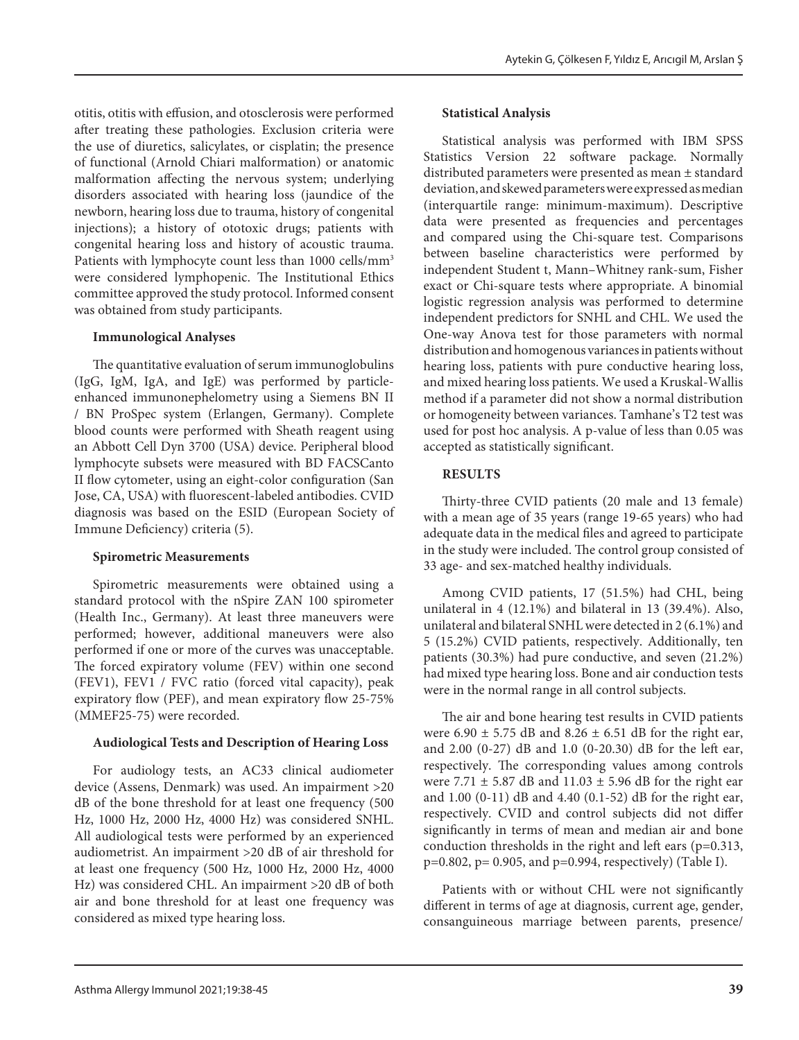otitis, otitis with effusion, and otosclerosis were performed after treating these pathologies. Exclusion criteria were the use of diuretics, salicylates, or cisplatin; the presence of functional (Arnold Chiari malformation) or anatomic malformation affecting the nervous system; underlying disorders associated with hearing loss (jaundice of the newborn, hearing loss due to trauma, history of congenital injections); a history of ototoxic drugs; patients with congenital hearing loss and history of acoustic trauma. Patients with lymphocyte count less than 1000 cells/mm<sup>3</sup> were considered lymphopenic. The Institutional Ethics committee approved the study protocol. Informed consent was obtained from study participants.

# **Immunological Analyses**

The quantitative evaluation of serum immunoglobulins (IgG, IgM, IgA, and IgE) was performed by particleenhanced immunonephelometry using a Siemens BN II / BN ProSpec system (Erlangen, Germany). Complete blood counts were performed with Sheath reagent using an Abbott Cell Dyn 3700 (USA) device. Peripheral blood lymphocyte subsets were measured with BD FACSCanto II flow cytometer, using an eight-color configuration (San Jose, CA, USA) with fluorescent-labeled antibodies. CVID diagnosis was based on the ESID (European Society of Immune Deficiency) criteria (5).

## **Spirometric Measurements**

Spirometric measurements were obtained using a standard protocol with the nSpire ZAN 100 spirometer (Health Inc., Germany). At least three maneuvers were performed; however, additional maneuvers were also performed if one or more of the curves was unacceptable. The forced expiratory volume (FEV) within one second (FEV1), FEV1 / FVC ratio (forced vital capacity), peak expiratory flow (PEF), and mean expiratory flow 25-75% (MMEF25-75) were recorded.

# **Audiological Tests and Description of Hearing Loss**

For audiology tests, an AC33 clinical audiometer device (Assens, Denmark) was used. An impairment >20 dB of the bone threshold for at least one frequency (500 Hz, 1000 Hz, 2000 Hz, 4000 Hz) was considered SNHL. All audiological tests were performed by an experienced audiometrist. An impairment >20 dB of air threshold for at least one frequency (500 Hz, 1000 Hz, 2000 Hz, 4000 Hz) was considered CHL. An impairment >20 dB of both air and bone threshold for at least one frequency was considered as mixed type hearing loss.

# **Statistical Analysis**

Statistical analysis was performed with IBM SPSS Statistics Version 22 software package. Normally distributed parameters were presented as mean ± standard deviation, and skewed parameters were expressed as median (interquartile range: minimum-maximum). Descriptive data were presented as frequencies and percentages and compared using the Chi-square test. Comparisons between baseline characteristics were performed by independent Student t, Mann–Whitney rank-sum, Fisher exact or Chi-square tests where appropriate. A binomial logistic regression analysis was performed to determine independent predictors for SNHL and CHL. We used the One-way Anova test for those parameters with normal distribution and homogenous variances in patients without hearing loss, patients with pure conductive hearing loss, and mixed hearing loss patients. We used a Kruskal-Wallis method if a parameter did not show a normal distribution or homogeneity between variances. Tamhane's T2 test was used for post hoc analysis. A p-value of less than 0.05 was accepted as statistically significant.

# **RESULTS**

Thirty-three CVID patients (20 male and 13 female) with a mean age of 35 years (range 19-65 years) who had adequate data in the medical files and agreed to participate in the study were included. The control group consisted of 33 age- and sex-matched healthy individuals.

Among CVID patients, 17 (51.5%) had CHL, being unilateral in 4 (12.1%) and bilateral in 13 (39.4%). Also, unilateral and bilateral SNHL were detected in 2 (6.1%) and 5 (15.2%) CVID patients, respectively. Additionally, ten patients (30.3%) had pure conductive, and seven (21.2%) had mixed type hearing loss. Bone and air conduction tests were in the normal range in all control subjects.

The air and bone hearing test results in CVID patients were 6.90  $\pm$  5.75 dB and 8.26  $\pm$  6.51 dB for the right ear, and 2.00 (0-27) dB and 1.0 (0-20.30) dB for the left ear, respectively. The corresponding values among controls were  $7.71 \pm 5.87$  dB and  $11.03 \pm 5.96$  dB for the right ear and 1.00 (0-11) dB and 4.40 (0.1-52) dB for the right ear, respectively. CVID and control subjects did not differ significantly in terms of mean and median air and bone conduction thresholds in the right and left ears (p=0.313, p=0.802, p= 0.905, and p=0.994, respectively) (Table I).

Patients with or without CHL were not significantly different in terms of age at diagnosis, current age, gender, consanguineous marriage between parents, presence/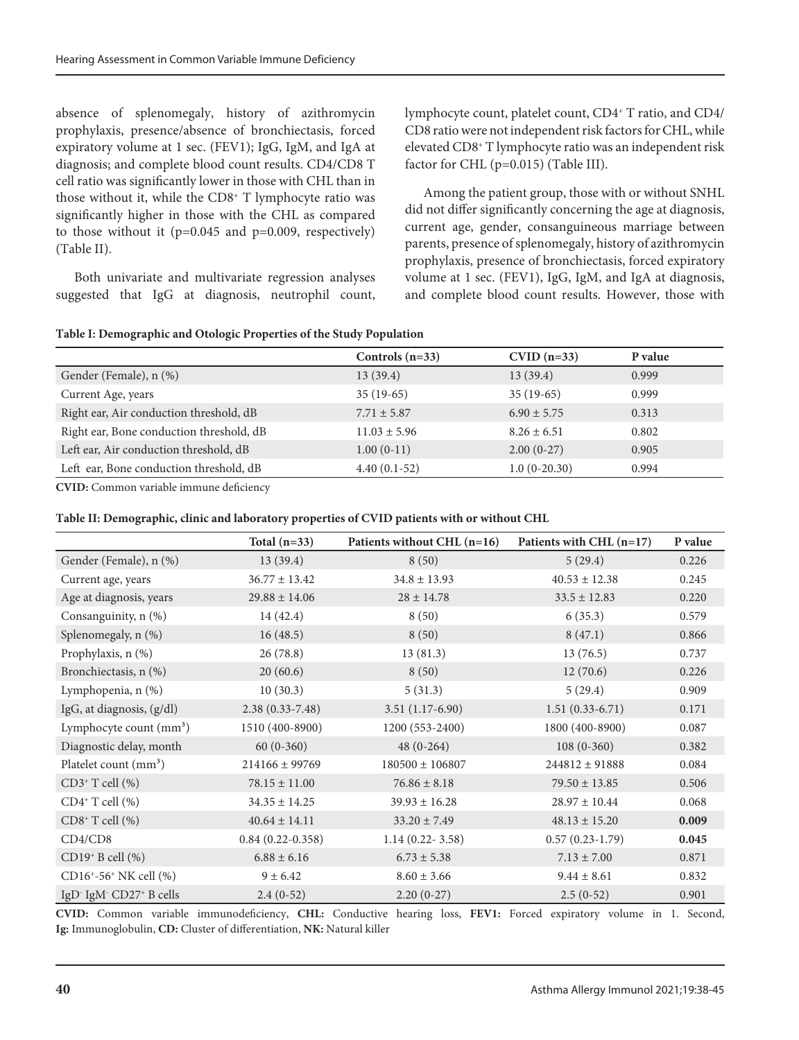absence of splenomegaly, history of azithromycin prophylaxis, presence/absence of bronchiectasis, forced expiratory volume at 1 sec. (FEV1); IgG, IgM, and IgA at diagnosis; and complete blood count results. CD4/CD8 T cell ratio was significantly lower in those with CHL than in those without it, while the CD8+ T lymphocyte ratio was significantly higher in those with the CHL as compared to those without it  $(p=0.045$  and  $p=0.009$ , respectively) (Table II).

Both univariate and multivariate regression analyses suggested that IgG at diagnosis, neutrophil count, lymphocyte count, platelet count, CD4+ T ratio, and CD4/ CD8 ratio were not independent risk factors for CHL, while elevated CD8+ T lymphocyte ratio was an independent risk factor for CHL (p=0.015) (Table III).

Among the patient group, those with or without SNHL did not differ significantly concerning the age at diagnosis, current age, gender, consanguineous marriage between parents, presence of splenomegaly, history of azithromycin prophylaxis, presence of bronchiectasis, forced expiratory volume at 1 sec. (FEV1), IgG, IgM, and IgA at diagnosis, and complete blood count results. However, those with

|                                          | Controls $(n=33)$ | $CVID(n=33)$    | P value |
|------------------------------------------|-------------------|-----------------|---------|
| Gender (Female), n (%)                   | 13(39.4)          | 13(39.4)        | 0.999   |
| Current Age, years                       | $35(19-65)$       | $35(19-65)$     | 0.999   |
| Right ear, Air conduction threshold, dB  | $7.71 \pm 5.87$   | $6.90 \pm 5.75$ | 0.313   |
| Right ear, Bone conduction threshold, dB | $11.03 \pm 5.96$  | $8.26 \pm 6.51$ | 0.802   |
| Left ear, Air conduction threshold, dB   | $1.00(0-11)$      | $2.00(0-27)$    | 0.905   |
| Left ear, Bone conduction threshold, dB  | $4.40(0.1-52)$    | $1.0(0-20.30)$  | 0.994   |

**CVID:** Common variable immune deficiency

|  | Table II: Demographic, clinic and laboratory properties of CVID patients with or without CHL |  |
|--|----------------------------------------------------------------------------------------------|--|
|  |                                                                                              |  |

|                                                | Total $(n=33)$       | Patients without CHL (n=16) | Patients with CHL (n=17) | P value |
|------------------------------------------------|----------------------|-----------------------------|--------------------------|---------|
| Gender (Female), n (%)                         | 13(39.4)             | 8(50)                       | 5(29.4)                  | 0.226   |
| Current age, years                             | $36.77 \pm 13.42$    | $34.8 \pm 13.93$            | $40.53 \pm 12.38$        | 0.245   |
| Age at diagnosis, years                        | $29.88 \pm 14.06$    | $28 \pm 14.78$              | $33.5 \pm 12.83$         | 0.220   |
| Consanguinity, n (%)                           | 14(42.4)             | 8(50)                       | 6(35.3)                  | 0.579   |
| Splenomegaly, n (%)                            | 16(48.5)             | 8(50)                       | 8(47.1)                  | 0.866   |
| Prophylaxis, n (%)                             | 26(78.8)             | 13(81.3)                    | 13(76.5)                 | 0.737   |
| Bronchiectasis, n (%)                          | 20(60.6)             | 8(50)                       | 12(70.6)                 | 0.226   |
| Lymphopenia, n (%)                             | 10(30.3)             | 5(31.3)                     | 5(29.4)                  | 0.909   |
| IgG, at diagnosis, (g/dl)                      | $2.38(0.33 - 7.48)$  | $3.51(1.17-6.90)$           | $1.51(0.33-6.71)$        | 0.171   |
| Lymphocyte count $(mm3)$                       | 1510 (400-8900)      | 1200 (553-2400)             | 1800 (400-8900)          | 0.087   |
| Diagnostic delay, month                        | $60(0-360)$          | $48(0-264)$                 | $108(0-360)$             | 0.382   |
| Platelet count (mm <sup>3</sup> )              | $214166 \pm 99769$   | $180500 \pm 106807$         | $244812 \pm 91888$       | 0.084   |
| $CD3+$ T cell $(\%)$                           | $78.15 \pm 11.00$    | $76.86 \pm 8.18$            | $79.50 \pm 13.85$        | 0.506   |
| CD4+ T cell (%)                                | $34.35 \pm 14.25$    | $39.93 \pm 16.28$           | $28.97 \pm 10.44$        | 0.068   |
| $CD8$ <sup>+</sup> T cell $(\% )$              | $40.64 \pm 14.11$    | $33.20 \pm 7.49$            | $48.13 \pm 15.20$        | 0.009   |
| CD4/CD8                                        | $0.84(0.22 - 0.358)$ | $1.14(0.22 - 3.58)$         | $0.57(0.23-1.79)$        | 0.045   |
| CD19+ B cell (%)                               | $6.88 \pm 6.16$      | $6.73 \pm 5.38$             | $7.13 \pm 7.00$          | 0.871   |
| CD16 <sup>+</sup> -56 <sup>+</sup> NK cell (%) | $9 \pm 6.42$         | $8.60 \pm 3.66$             | $9.44 \pm 8.61$          | 0.832   |
| IgD IgM $CD27$ <sup>+</sup> B cells            | $2.4(0-52)$          | $2.20(0-27)$                | $2.5(0-52)$              | 0.901   |

**CVID:** Common variable immunodeficiency, **CHL:** Conductive hearing loss, **FEV1:** Forced expiratory volume in 1. Second, **Ig:** Immunoglobulin, **CD:** Cluster of differentiation, **NK:** Natural killer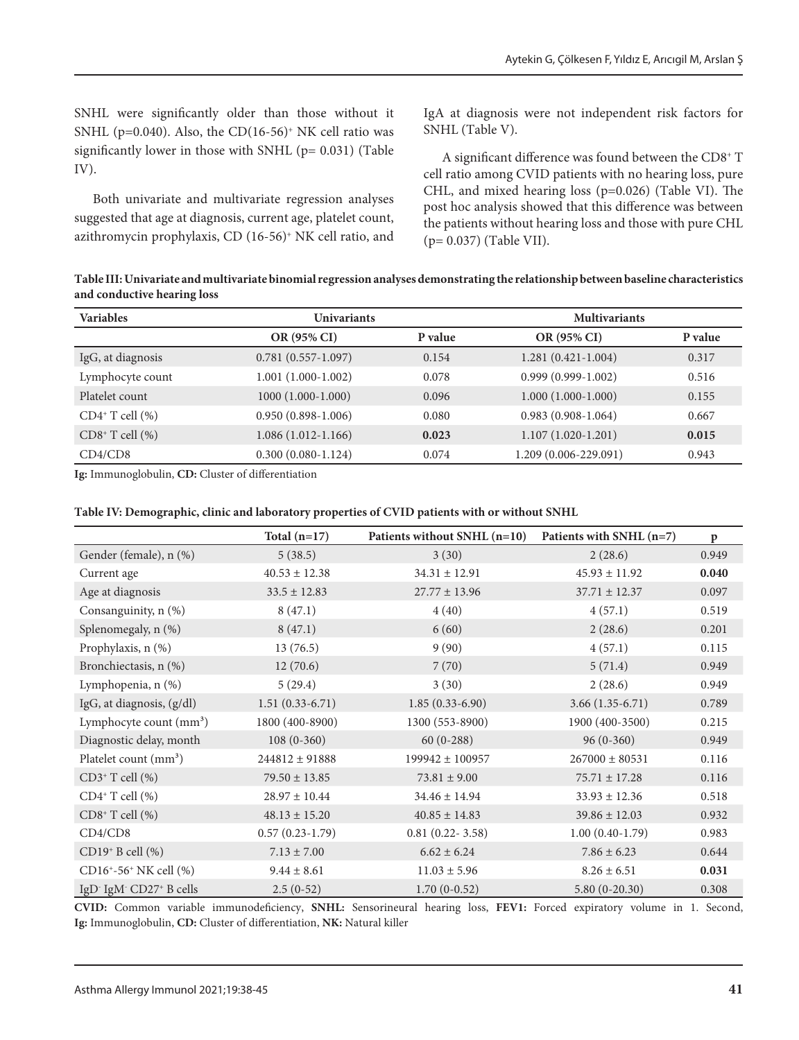SNHL were significantly older than those without it SNHL (p=0.040). Also, the CD(16-56)<sup>+</sup> NK cell ratio was significantly lower in those with SNHL (p= 0.031) (Table IV).

Both univariate and multivariate regression analyses suggested that age at diagnosis, current age, platelet count, azithromycin prophylaxis, CD (16-56)+ NK cell ratio, and IgA at diagnosis were not independent risk factors for SNHL (Table V).

A significant difference was found between the CD8+ T cell ratio among CVID patients with no hearing loss, pure CHL, and mixed hearing loss (p=0.026) (Table VI). The post hoc analysis showed that this difference was between the patients without hearing loss and those with pure CHL (p= 0.037) (Table VII).

**Table III: Univariate and multivariate binomial regression analyses demonstrating the relationship between baseline characteristics and conductive hearing loss**

| <b>Variables</b>                  | Univariants            |         | <b>Multivariants</b>  |         |
|-----------------------------------|------------------------|---------|-----------------------|---------|
|                                   | OR (95% CI)            | P value | OR (95% CI)           | P value |
| IgG, at diagnosis                 | $0.781(0.557-1.097)$   | 0.154   | $1.281(0.421-1.004)$  | 0.317   |
| Lymphocyte count                  | $1.001(1.000-1.002)$   | 0.078   | $0.999(0.999-1.002)$  | 0.516   |
| Platelet count                    | $1000(1.000-1.000)$    | 0.096   | $1.000(1.000-1.000)$  | 0.155   |
| $CD4^+$ T cell $(\%)$             | $0.950(0.898 - 1.006)$ | 0.080   | $0.983(0.908-1.064)$  | 0.667   |
| $CD8$ <sup>+</sup> T cell $(\% )$ | $1.086(1.012-1.166)$   | 0.023   | $1.107(1.020-1.201)$  | 0.015   |
| CD4/CD8                           | $0.300(0.080-1.124)$   | 0.074   | 1.209 (0.006-229.091) | 0.943   |

**Ig:** Immunoglobulin, **CD:** Cluster of differentiation

#### **Table IV: Demographic, clinic and laboratory properties of CVID patients with or without SNHL**

|                                                | Total $(n=17)$     | Patients without SNHL (n=10) | Patients with SNHL (n=7) | $\mathbf{p}$ |
|------------------------------------------------|--------------------|------------------------------|--------------------------|--------------|
| Gender (female), n (%)                         | 5(38.5)            | 3(30)                        | 2(28.6)                  | 0.949        |
| Current age                                    | $40.53 \pm 12.38$  | $34.31 \pm 12.91$            | $45.93 \pm 11.92$        | 0.040        |
| Age at diagnosis                               | $33.5 \pm 12.83$   | $27.77 \pm 13.96$            | $37.71 \pm 12.37$        | 0.097        |
| Consanguinity, n (%)                           | 8(47.1)            | 4(40)                        | 4(57.1)                  | 0.519        |
| Splenomegaly, n (%)                            | 8(47.1)            | 6(60)                        | 2(28.6)                  | 0.201        |
| Prophylaxis, n (%)                             | 13(76.5)           | 9(90)                        | 4(57.1)                  | 0.115        |
| Bronchiectasis, n (%)                          | 12(70.6)           | 7(70)                        | 5(71.4)                  | 0.949        |
| Lymphopenia, n (%)                             | 5(29.4)            | 3(30)                        | 2(28.6)                  | 0.949        |
| IgG, at diagnosis, (g/dl)                      | $1.51(0.33-6.71)$  | $1.85(0.33-6.90)$            | $3.66(1.35-6.71)$        | 0.789        |
| Lymphocyte count $(mm3)$                       | 1800 (400-8900)    | 1300 (553-8900)              | 1900 (400-3500)          | 0.215        |
| Diagnostic delay, month                        | $108(0-360)$       | $60(0-288)$                  | $96(0-360)$              | 0.949        |
| Platelet count (mm <sup>3</sup> )              | $244812 \pm 91888$ | $199942 \pm 100957$          | $267000 \pm 80531$       | 0.116        |
| $CD3+$ T cell $(\%)$                           | $79.50 \pm 13.85$  | $73.81 \pm 9.00$             | $75.71 \pm 17.28$        | 0.116        |
| $CD4$ <sup>+</sup> T cell $(\% )$              | $28.97 \pm 10.44$  | $34.46 \pm 14.94$            | $33.93 \pm 12.36$        | 0.518        |
| $CD8$ <sup>+</sup> T cell $(\% )$              | $48.13 \pm 15.20$  | $40.85 \pm 14.83$            | $39.86 \pm 12.03$        | 0.932        |
| CD4/CD8                                        | $0.57(0.23-1.79)$  | $0.81(0.22 - 3.58)$          | $1.00(0.40-1.79)$        | 0.983        |
| $CD19$ <sup>+</sup> B cell $(\% )$             | $7.13 \pm 7.00$    | $6.62 \pm 6.24$              | $7.86 \pm 6.23$          | 0.644        |
| CD16 <sup>+</sup> -56 <sup>+</sup> NK cell (%) | $9.44 \pm 8.61$    | $11.03 \pm 5.96$             | $8.26 \pm 6.51$          | 0.031        |
| IgD IgM CD27+ B cells                          | $2.5(0-52)$        | $1.70(0-0.52)$               | $5.80(0-20.30)$          | 0.308        |

**CVID:** Common variable immunodeficiency, **SNHL:** Sensorineural hearing loss, **FEV1:** Forced expiratory volume in 1. Second, **Ig:** Immunoglobulin, **CD:** Cluster of differentiation, **NK:** Natural killer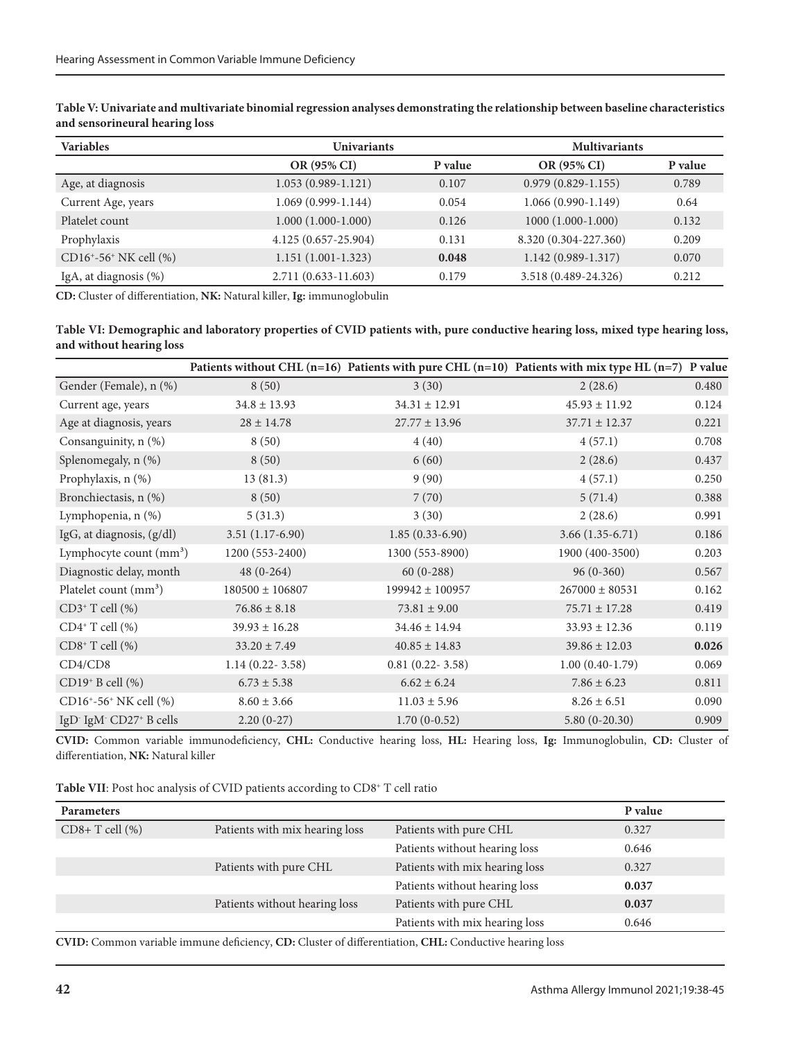| <b>Variables</b>                               | <b>Univariants</b>     |         |                        | <b>Multivariants</b> |  |
|------------------------------------------------|------------------------|---------|------------------------|----------------------|--|
|                                                | <b>OR (95% CI)</b>     | P value | OR (95% CI)            | P value              |  |
| Age, at diagnosis                              | $1.053(0.989 - 1.121)$ | 0.107   | $0.979(0.829-1.155)$   | 0.789                |  |
| Current Age, years                             | $1.069(0.999-1.144)$   | 0.054   | $1.066(0.990-1.149)$   | 0.64                 |  |
| Platelet count                                 | $1.000(1.000-1.000)$   | 0.126   | $1000(1.000-1.000)$    | 0.132                |  |
| Prophylaxis                                    | 4.125 (0.657-25.904)   | 0.131   | 8.320 (0.304-227.360)  | 0.209                |  |
| CD16 <sup>+</sup> -56 <sup>+</sup> NK cell (%) | $1.151(1.001-1.323)$   | 0.048   | $1.142(0.989 - 1.317)$ | 0.070                |  |
| IgA, at diagnosis (%)                          | 2.711 (0.633-11.603)   | 0.179   | 3.518 (0.489-24.326)   | 0.212                |  |

**Table V: Univariate and multivariate binomial regression analyses demonstrating the relationship between baseline characteristics and sensorineural hearing loss**

**CD:** Cluster of differentiation, **NK:** Natural killer, **Ig:** immunoglobulin

**Table VI: Demographic and laboratory properties of CVID patients with, pure conductive hearing loss, mixed type hearing loss, and without hearing loss**

|                                   |                     |                     | Patients without CHL ( $n=16$ ) Patients with pure CHL ( $n=10$ ) Patients with mix type HL ( $n=7$ ) P value |       |
|-----------------------------------|---------------------|---------------------|---------------------------------------------------------------------------------------------------------------|-------|
| Gender (Female), n (%)            | 8(50)               | 3(30)               | 2(28.6)                                                                                                       | 0.480 |
| Current age, years                | $34.8 \pm 13.93$    | $34.31 \pm 12.91$   | $45.93 \pm 11.92$                                                                                             | 0.124 |
| Age at diagnosis, years           | $28 \pm 14.78$      | $27.77 \pm 13.96$   | $37.71 \pm 12.37$                                                                                             | 0.221 |
| Consanguinity, n (%)              | 8(50)               | 4(40)               | 4(57.1)                                                                                                       | 0.708 |
| Splenomegaly, n (%)               | 8(50)               | 6(60)               | 2(28.6)                                                                                                       | 0.437 |
| Prophylaxis, n (%)                | 13(81.3)            | 9(90)               | 4(57.1)                                                                                                       | 0.250 |
| Bronchiectasis, n (%)             | 8(50)               | 7(70)               | 5(71.4)                                                                                                       | 0.388 |
| Lymphopenia, n (%)                | 5(31.3)             | 3(30)               | 2(28.6)                                                                                                       | 0.991 |
| IgG, at diagnosis, (g/dl)         | $3.51(1.17-6.90)$   | $1.85(0.33-6.90)$   | $3.66(1.35-6.71)$                                                                                             | 0.186 |
| Lymphocyte count $(mm3)$          | 1200 (553-2400)     | 1300 (553-8900)     | 1900 (400-3500)                                                                                               | 0.203 |
| Diagnostic delay, month           | $48(0-264)$         | $60(0-288)$         | $96(0-360)$                                                                                                   | 0.567 |
| Platelet count (mm <sup>3</sup> ) | $180500 \pm 106807$ | 199942 ± 100957     | $267000 \pm 80531$                                                                                            | 0.162 |
| $CD3+$ T cell $(\% )$             | $76.86 \pm 8.18$    | $73.81 \pm 9.00$    | $75.71 \pm 17.28$                                                                                             | 0.419 |
| $CD4$ <sup>+</sup> T cell $(\% )$ | $39.93 \pm 16.28$   | $34.46 \pm 14.94$   | $33.93 \pm 12.36$                                                                                             | 0.119 |
| $CD8$ <sup>+</sup> T cell $(\% )$ | $33.20 \pm 7.49$    | $40.85 \pm 14.83$   | $39.86 \pm 12.03$                                                                                             | 0.026 |
| CD4/CD8                           | $1.14(0.22 - 3.58)$ | $0.81(0.22 - 3.58)$ | $1.00(0.40-1.79)$                                                                                             | 0.069 |
| $CD19$ <sup>+</sup> B cell (%)    | $6.73 \pm 5.38$     | $6.62 \pm 6.24$     | $7.86 \pm 6.23$                                                                                               | 0.811 |
| CD16+-56+ NK cell (%)             | $8.60 \pm 3.66$     | $11.03 \pm 5.96$    | $8.26 \pm 6.51$                                                                                               | 0.090 |
| IgD IgM CD27 <sup>+</sup> B cells | $2.20(0-27)$        | $1.70(0-0.52)$      | $5.80(0-20.30)$                                                                                               | 0.909 |

**CVID:** Common variable immunodeficiency, **CHL:** Conductive hearing loss, **HL:** Hearing loss, **Ig:** Immunoglobulin, **CD:** Cluster of differentiation, **NK:** Natural killer

|  | Table VII: Post hoc analysis of CVID patients according to CD8+ T cell ratio |
|--|------------------------------------------------------------------------------|
|--|------------------------------------------------------------------------------|

|                                |                                | P value |
|--------------------------------|--------------------------------|---------|
| Patients with mix hearing loss | Patients with pure CHL         | 0.327   |
|                                | Patients without hearing loss  | 0.646   |
| Patients with pure CHL         | Patients with mix hearing loss | 0.327   |
|                                | Patients without hearing loss  | 0.037   |
| Patients without hearing loss  | Patients with pure CHL         | 0.037   |
|                                | Patients with mix hearing loss | 0.646   |
|                                |                                |         |

**CVID:** Common variable immune deficiency, **CD:** Cluster of differentiation, **CHL:** Conductive hearing loss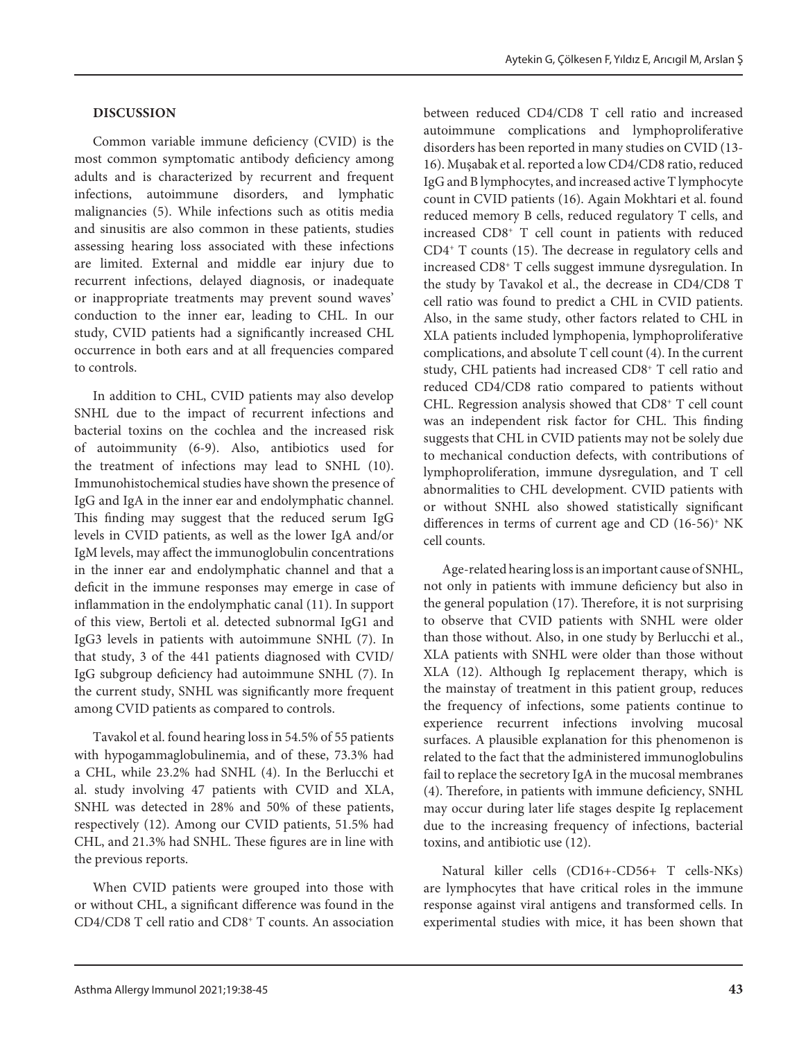### **DISCUSSION**

Common variable immune deficiency (CVID) is the most common symptomatic antibody deficiency among adults and is characterized by recurrent and frequent infections, autoimmune disorders, and lymphatic malignancies (5). While infections such as otitis media and sinusitis are also common in these patients, studies assessing hearing loss associated with these infections are limited. External and middle ear injury due to recurrent infections, delayed diagnosis, or inadequate or inappropriate treatments may prevent sound waves' conduction to the inner ear, leading to CHL. In our study, CVID patients had a significantly increased CHL occurrence in both ears and at all frequencies compared to controls.

In addition to CHL, CVID patients may also develop SNHL due to the impact of recurrent infections and bacterial toxins on the cochlea and the increased risk of autoimmunity (6-9). Also, antibiotics used for the treatment of infections may lead to SNHL (10). Immunohistochemical studies have shown the presence of IgG and IgA in the inner ear and endolymphatic channel. This finding may suggest that the reduced serum IgG levels in CVID patients, as well as the lower IgA and/or IgM levels, may affect the immunoglobulin concentrations in the inner ear and endolymphatic channel and that a deficit in the immune responses may emerge in case of inflammation in the endolymphatic canal (11). In support of this view, Bertoli et al. detected subnormal IgG1 and IgG3 levels in patients with autoimmune SNHL (7). In that study, 3 of the 441 patients diagnosed with CVID/ IgG subgroup deficiency had autoimmune SNHL (7). In the current study, SNHL was significantly more frequent among CVID patients as compared to controls.

Tavakol et al. found hearing loss in 54.5% of 55 patients with hypogammaglobulinemia, and of these, 73.3% had a CHL, while 23.2% had SNHL (4). In the Berlucchi et al. study involving 47 patients with CVID and XLA, SNHL was detected in 28% and 50% of these patients, respectively (12). Among our CVID patients, 51.5% had CHL, and 21.3% had SNHL. These figures are in line with the previous reports.

When CVID patients were grouped into those with or without CHL, a significant difference was found in the CD4/CD8 T cell ratio and CD8+ T counts. An association

between reduced CD4/CD8 T cell ratio and increased autoimmune complications and lymphoproliferative disorders has been reported in many studies on CVID (13- 16). Muşabak et al. reported a low CD4/CD8 ratio, reduced IgG and B lymphocytes, and increased active T lymphocyte count in CVID patients (16). Again Mokhtari et al. found reduced memory B cells, reduced regulatory T cells, and increased CD8+ T cell count in patients with reduced CD4+ T counts (15). The decrease in regulatory cells and increased CD8+ T cells suggest immune dysregulation. In the study by Tavakol et al., the decrease in CD4/CD8 T cell ratio was found to predict a CHL in CVID patients. Also, in the same study, other factors related to CHL in XLA patients included lymphopenia, lymphoproliferative complications, and absolute T cell count (4). In the current study, CHL patients had increased CD8+ T cell ratio and reduced CD4/CD8 ratio compared to patients without CHL. Regression analysis showed that CD8+ T cell count was an independent risk factor for CHL. This finding suggests that CHL in CVID patients may not be solely due to mechanical conduction defects, with contributions of lymphoproliferation, immune dysregulation, and T cell abnormalities to CHL development. CVID patients with or without SNHL also showed statistically significant differences in terms of current age and CD (16-56)+ NK cell counts.

Age-related hearing loss is an important cause of SNHL, not only in patients with immune deficiency but also in the general population (17). Therefore, it is not surprising to observe that CVID patients with SNHL were older than those without. Also, in one study by Berlucchi et al., XLA patients with SNHL were older than those without XLA (12). Although Ig replacement therapy, which is the mainstay of treatment in this patient group, reduces the frequency of infections, some patients continue to experience recurrent infections involving mucosal surfaces. A plausible explanation for this phenomenon is related to the fact that the administered immunoglobulins fail to replace the secretory IgA in the mucosal membranes (4). Therefore, in patients with immune deficiency, SNHL may occur during later life stages despite Ig replacement due to the increasing frequency of infections, bacterial toxins, and antibiotic use (12).

Natural killer cells (CD16+-CD56+ T cells-NKs) are lymphocytes that have critical roles in the immune response against viral antigens and transformed cells. In experimental studies with mice, it has been shown that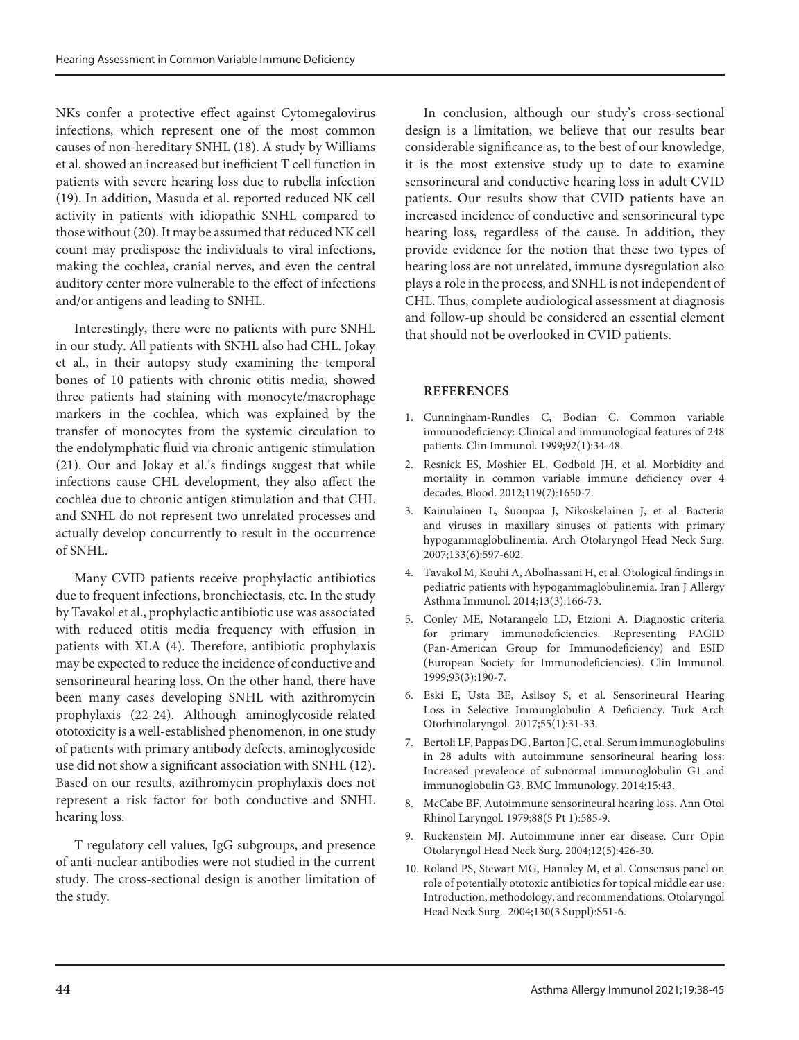NKs confer a protective effect against Cytomegalovirus infections, which represent one of the most common causes of non-hereditary SNHL (18). A study by Williams et al. showed an increased but inefficient T cell function in patients with severe hearing loss due to rubella infection (19). In addition, Masuda et al. reported reduced NK cell activity in patients with idiopathic SNHL compared to those without (20). It may be assumed that reduced NK cell count may predispose the individuals to viral infections, making the cochlea, cranial nerves, and even the central auditory center more vulnerable to the effect of infections and/or antigens and leading to SNHL.

Interestingly, there were no patients with pure SNHL in our study. All patients with SNHL also had CHL. Jokay et al., in their autopsy study examining the temporal bones of 10 patients with chronic otitis media, showed three patients had staining with monocyte/macrophage markers in the cochlea, which was explained by the transfer of monocytes from the systemic circulation to the endolymphatic fluid via chronic antigenic stimulation (21). Our and Jokay et al.'s findings suggest that while infections cause CHL development, they also affect the cochlea due to chronic antigen stimulation and that CHL and SNHL do not represent two unrelated processes and actually develop concurrently to result in the occurrence of SNHL.

Many CVID patients receive prophylactic antibiotics due to frequent infections, bronchiectasis, etc. In the study by Tavakol et al., prophylactic antibiotic use was associated with reduced otitis media frequency with effusion in patients with XLA (4). Therefore, antibiotic prophylaxis may be expected to reduce the incidence of conductive and sensorineural hearing loss. On the other hand, there have been many cases developing SNHL with azithromycin prophylaxis (22-24). Although aminoglycoside-related ototoxicity is a well-established phenomenon, in one study of patients with primary antibody defects, aminoglycoside use did not show a significant association with SNHL (12). Based on our results, azithromycin prophylaxis does not represent a risk factor for both conductive and SNHL hearing loss.

T regulatory cell values, IgG subgroups, and presence of anti-nuclear antibodies were not studied in the current study. The cross-sectional design is another limitation of the study.

In conclusion, although our study's cross-sectional design is a limitation, we believe that our results bear considerable significance as, to the best of our knowledge, it is the most extensive study up to date to examine sensorineural and conductive hearing loss in adult CVID patients. Our results show that CVID patients have an increased incidence of conductive and sensorineural type hearing loss, regardless of the cause. In addition, they provide evidence for the notion that these two types of hearing loss are not unrelated, immune dysregulation also plays a role in the process, and SNHL is not independent of CHL. Thus, complete audiological assessment at diagnosis and follow-up should be considered an essential element that should not be overlooked in CVID patients.

# **REFERENCES**

- 1. Cunningham-Rundles C, Bodian C. Common variable immunodeficiency: Clinical and immunological features of 248 patients. Clin Immunol. 1999;92(1):34-48.
- 2. Resnick ES, Moshier EL, Godbold JH, et al. Morbidity and mortality in common variable immune deficiency over 4 decades. Blood. 2012;119(7):1650-7.
- 3. Kainulainen L, Suonpaa J, Nikoskelainen J, et al. Bacteria and viruses in maxillary sinuses of patients with primary hypogammaglobulinemia. Arch Otolaryngol Head Neck Surg. 2007;133(6):597-602.
- 4. Tavakol M, Kouhi A, Abolhassani H, et al. Otological findings in pediatric patients with hypogammaglobulinemia. Iran J Allergy Asthma Immunol. 2014;13(3):166-73.
- 5. Conley ME, Notarangelo LD, Etzioni A. Diagnostic criteria for primary immunodeficiencies. Representing PAGID (Pan-American Group for Immunodeficiency) and ESID (European Society for Immunodeficiencies). Clin Immunol. 1999;93(3):190-7.
- 6. Eski E, Usta BE, Asilsoy S, et al. Sensorineural Hearing Loss in Selective Immunglobulin A Deficiency. Turk Arch Otorhinolaryngol. 2017;55(1):31-33.
- 7. Bertoli LF, Pappas DG, Barton JC, et al. Serum immunoglobulins in 28 adults with autoimmune sensorineural hearing loss: Increased prevalence of subnormal immunoglobulin G1 and immunoglobulin G3. BMC Immunology. 2014;15:43.
- 8. McCabe BF. Autoimmune sensorineural hearing loss. Ann Otol Rhinol Laryngol. 1979;88(5 Pt 1):585-9.
- 9. Ruckenstein MJ. Autoimmune inner ear disease. Curr Opin Otolaryngol Head Neck Surg. 2004;12(5):426-30.
- 10. Roland PS, Stewart MG, Hannley M, et al. Consensus panel on role of potentially ototoxic antibiotics for topical middle ear use: Introduction, methodology, and recommendations. Otolaryngol Head Neck Surg. 2004;130(3 Suppl):S51-6.